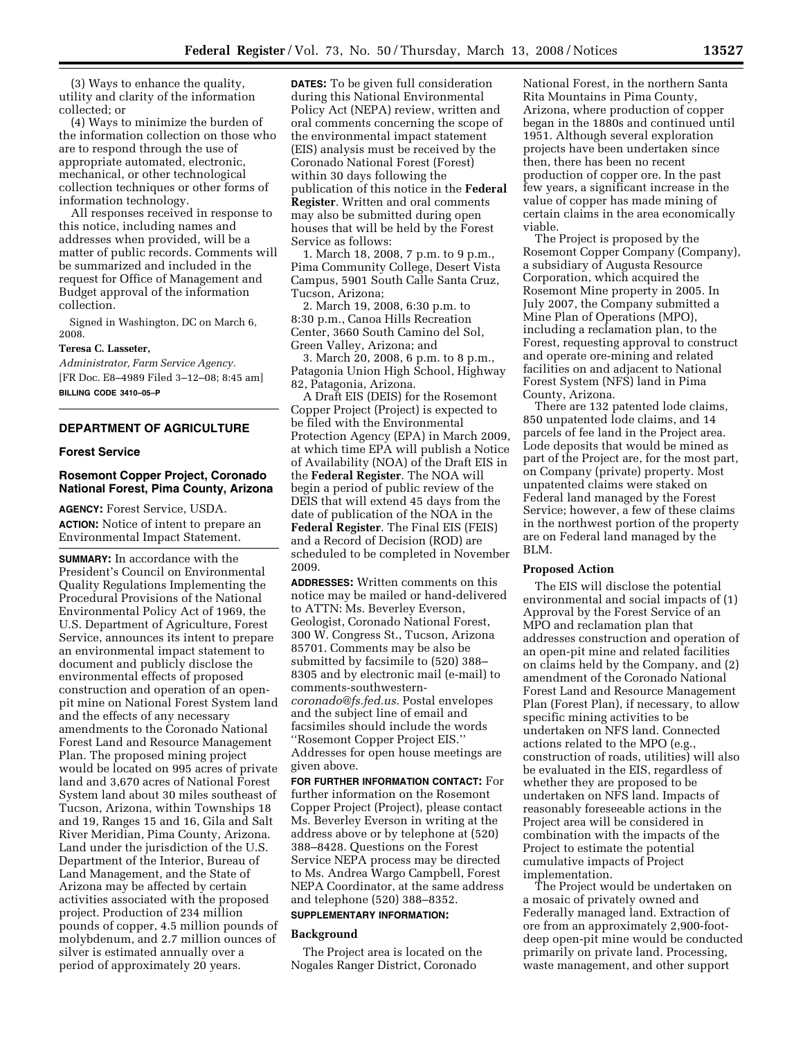(3) Ways to enhance the quality, utility and clarity of the information collected; or

(4) Ways to minimize the burden of the information collection on those who are to respond through the use of appropriate automated, electronic, mechanical, or other technological collection techniques or other forms of information technology.

All responses received in response to this notice, including names and addresses when provided, will be a matter of public records. Comments will be summarized and included in the request for Office of Management and Budget approval of the information collection.

Signed in Washington, DC on March 6, 2008.

#### **Teresa C. Lasseter,**

*Administrator, Farm Service Agency.*  [FR Doc. E8–4989 Filed 3–12–08; 8:45 am] **BILLING CODE 3410–05–P** 

## **DEPARTMENT OF AGRICULTURE**

#### **Forest Service**

# **Rosemont Copper Project, Coronado National Forest, Pima County, Arizona**

**AGENCY:** Forest Service, USDA. **ACTION:** Notice of intent to prepare an Environmental Impact Statement.

**SUMMARY:** In accordance with the President's Council on Environmental Quality Regulations Implementing the Procedural Provisions of the National Environmental Policy Act of 1969, the U.S. Department of Agriculture, Forest Service, announces its intent to prepare an environmental impact statement to document and publicly disclose the environmental effects of proposed construction and operation of an openpit mine on National Forest System land and the effects of any necessary amendments to the Coronado National Forest Land and Resource Management Plan. The proposed mining project would be located on 995 acres of private land and 3,670 acres of National Forest System land about 30 miles southeast of Tucson, Arizona, within Townships 18 and 19, Ranges 15 and 16, Gila and Salt River Meridian, Pima County, Arizona. Land under the jurisdiction of the U.S. Department of the Interior, Bureau of Land Management, and the State of Arizona may be affected by certain activities associated with the proposed project. Production of 234 million pounds of copper, 4.5 million pounds of molybdenum, and 2.7 million ounces of silver is estimated annually over a period of approximately 20 years.

**DATES:** To be given full consideration during this National Environmental Policy Act (NEPA) review, written and oral comments concerning the scope of the environmental impact statement (EIS) analysis must be received by the Coronado National Forest (Forest) within 30 days following the publication of this notice in the **Federal Register**. Written and oral comments may also be submitted during open houses that will be held by the Forest Service as follows:

1. March 18, 2008, 7 p.m. to 9 p.m., Pima Community College, Desert Vista Campus, 5901 South Calle Santa Cruz, Tucson, Arizona;

2. March 19, 2008, 6:30 p.m. to 8:30 p.m., Canoa Hills Recreation Center, 3660 South Camino del Sol, Green Valley, Arizona; and

3. March 20, 2008, 6 p.m. to 8 p.m., Patagonia Union High School, Highway 82, Patagonia, Arizona.

A Draft EIS (DEIS) for the Rosemont Copper Project (Project) is expected to be filed with the Environmental Protection Agency (EPA) in March 2009, at which time EPA will publish a Notice of Availability (NOA) of the Draft EIS in the **Federal Register**. The NOA will begin a period of public review of the DEIS that will extend 45 days from the date of publication of the NOA in the **Federal Register**. The Final EIS (FEIS) and a Record of Decision (ROD) are scheduled to be completed in November 2009.

**ADDRESSES:** Written comments on this notice may be mailed or hand-delivered to ATTN: Ms. Beverley Everson, Geologist, Coronado National Forest, 300 W. Congress St., Tucson, Arizona 85701. Comments may be also be submitted by facsimile to (520) 388– 8305 and by electronic mail (e-mail) to comments-southwestern*coronado@fs.fed.us.* Postal envelopes and the subject line of email and facsimiles should include the words ''Rosemont Copper Project EIS.'' Addresses for open house meetings are given above.

**FOR FURTHER INFORMATION CONTACT:** For further information on the Rosemont Copper Project (Project), please contact Ms. Beverley Everson in writing at the address above or by telephone at (520) 388–8428. Questions on the Forest Service NEPA process may be directed to Ms. Andrea Wargo Campbell, Forest NEPA Coordinator, at the same address and telephone (520) 388–8352.

# **SUPPLEMENTARY INFORMATION:**

#### **Background**

The Project area is located on the Nogales Ranger District, Coronado

National Forest, in the northern Santa Rita Mountains in Pima County, Arizona, where production of copper began in the 1880s and continued until 1951. Although several exploration projects have been undertaken since then, there has been no recent production of copper ore. In the past few years, a significant increase in the value of copper has made mining of certain claims in the area economically viable.

The Project is proposed by the Rosemont Copper Company (Company), a subsidiary of Augusta Resource Corporation, which acquired the Rosemont Mine property in 2005. In July 2007, the Company submitted a Mine Plan of Operations (MPO), including a reclamation plan, to the Forest, requesting approval to construct and operate ore-mining and related facilities on and adjacent to National Forest System (NFS) land in Pima County, Arizona.

There are 132 patented lode claims, 850 unpatented lode claims, and 14 parcels of fee land in the Project area. Lode deposits that would be mined as part of the Project are, for the most part, on Company (private) property. Most unpatented claims were staked on Federal land managed by the Forest Service; however, a few of these claims in the northwest portion of the property are on Federal land managed by the BLM.

#### **Proposed Action**

The EIS will disclose the potential environmental and social impacts of (1) Approval by the Forest Service of an MPO and reclamation plan that addresses construction and operation of an open-pit mine and related facilities on claims held by the Company, and (2) amendment of the Coronado National Forest Land and Resource Management Plan (Forest Plan), if necessary, to allow specific mining activities to be undertaken on NFS land. Connected actions related to the MPO (e.g., construction of roads, utilities) will also be evaluated in the EIS, regardless of whether they are proposed to be undertaken on NFS land. Impacts of reasonably foreseeable actions in the Project area will be considered in combination with the impacts of the Project to estimate the potential cumulative impacts of Project implementation.

The Project would be undertaken on a mosaic of privately owned and Federally managed land. Extraction of ore from an approximately 2,900-footdeep open-pit mine would be conducted primarily on private land. Processing, waste management, and other support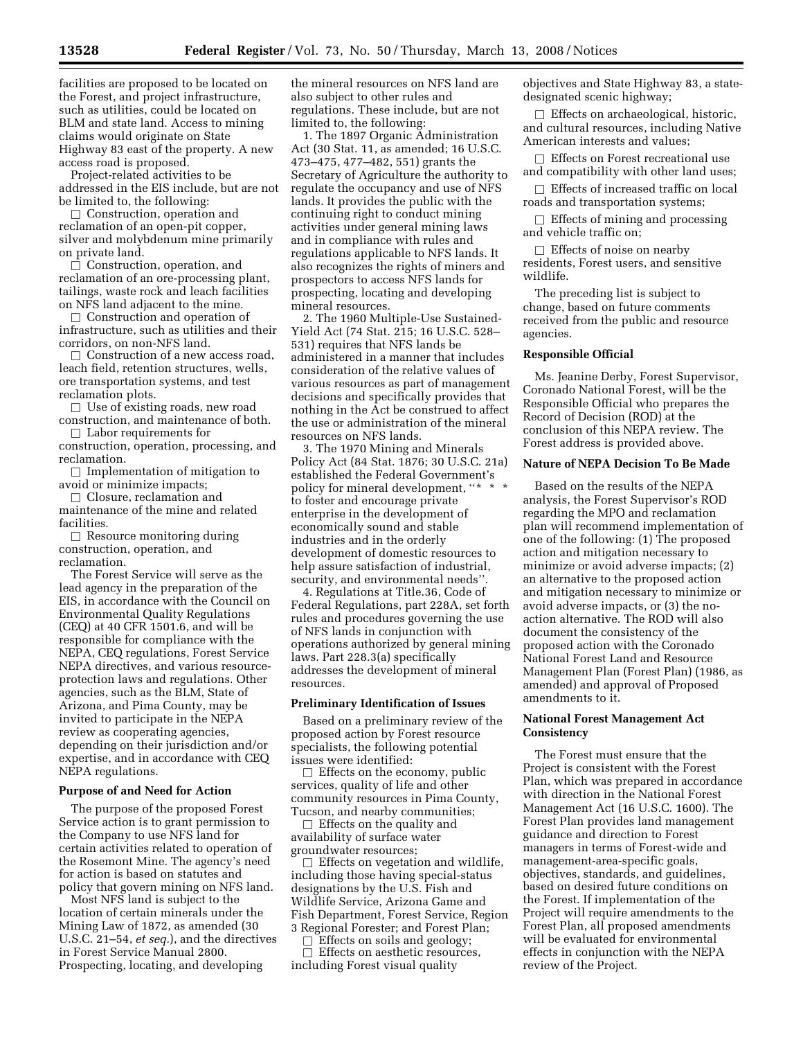facilities are proposed to be located on the Forest, and project infrastructure, such as utilities, could be located on BLM and state land. Access to mining claims would originate on State Highway 83 east of the property. A new access road is proposed.

Project-related activities to be addressed in the EIS include, but are not be limited to, the following:

 $\Box$  Construction, operation and reclamation of an open-pit copper, silver and molybdenum mine primarily on private land.

 $\Box$  Construction, operation, and reclamation of an ore-processing plant, tailings, waste rock and leach facilities on NFS land adjacent to the mine.

**Construction and operation of** infrastructure, such as utilities and their corridors, on non-NFS land.

 $\Box$  Construction of a new access road, leach field, retention structures, wells, ore transportation systems, and test reclamation plots.

 $\Box$  Use of existing roads, new road construction, and maintenance of both.

 $\Box$  Labor requirements for construction, operation, processing, and reclamation.

 $\Box$  Implementation of mitigation to avoid or minimize impacts;

 $\Box$  Closure, reclamation and maintenance of the mine and related

facilities.  $\Box$  Resource monitoring during construction, operation, and reclamation.

The Forest Service will serve as the lead agency in the preparation of the EIS, in accordance with the Council on Environmental Quality Regulations (CEQ) at 40 CFR 1501.6, and will be responsible for compliance with the NEPA, CEQ regulations, Forest Service NEPA directives, and various resourceprotection laws and regulations. Other agencies, such as the BLM, State of Arizona, and Pima County, may be invited to participate in the NEPA review as cooperating agencies, depending on their jurisdiction and/or expertise, and in accordance with CEQ NEPA regulations.

#### **Purpose of and Need for Action**

The purpose of the proposed Forest Service action is to grant permission to the Company to use NFS land for certain activities related to operation of the Rosemont Mine. The agency's need for action is based on statutes and policy that govern mining on NFS land.

Most NFS land is subject to the location of certain minerals under the Mining Law of 1872, as amended (30 U.S.C. 21–54, *et seq.*), and the directives in Forest Service Manual 2800. Prospecting, locating, and developing

the mineral resources on NFS land are also subject to other rules and regulations. These include, but are not limited to, the following:

1. The 1897 Organic Administration Act (30 Stat. 11, as amended; 16 U.S.C. 473–475, 477–482, 551) grants the Secretary of Agriculture the authority to regulate the occupancy and use of NFS lands. It provides the public with the continuing right to conduct mining activities under general mining laws and in compliance with rules and regulations applicable to NFS lands. It also recognizes the rights of miners and prospectors to access NFS lands for prospecting, locating and developing mineral resources.

2. The 1960 Multiple-Use Sustained-Yield Act (74 Stat. 215; 16 U.S.C. 528– 531) requires that NFS lands be administered in a manner that includes consideration of the relative values of various resources as part of management decisions and specifically provides that nothing in the Act be construed to affect the use or administration of the mineral resources on NFS lands.

3. The 1970 Mining and Minerals Policy Act (84 Stat. 1876; 30 U.S.C. 21a) established the Federal Government's policy for mineral development, "\* \* \* to foster and encourage private enterprise in the development of economically sound and stable industries and in the orderly development of domestic resources to help assure satisfaction of industrial, security, and environmental needs''.

4. Regulations at Title.36, Code of Federal Regulations, part 228A, set forth rules and procedures governing the use of NFS lands in conjunction with operations authorized by general mining laws. Part 228.3(a) specifically addresses the development of mineral resources.

### **Preliminary Identification of Issues**

Based on a preliminary review of the proposed action by Forest resource specialists, the following potential issues were identified:

 $\Box$  Effects on the economy, public services, quality of life and other community resources in Pima County, Tucson, and nearby communities;

 $\Box$  Effects on the quality and availability of surface water groundwater resources;

 $\Box$  Effects on vegetation and wildlife, including those having special-status designations by the U.S. Fish and Wildlife Service, Arizona Game and Fish Department, Forest Service, Region 3 Regional Forester; and Forest Plan;

 $\Box$  Effects on soils and geology;<br> $\Box$  Effects on aesthetic resources

□ Effects on aesthetic resources,<br>cluding Forest visual quality including Forest visual quality

objectives and State Highway 83, a statedesignated scenic highway;

 $\Box$  Effects on archaeological, historic, and cultural resources, including Native American interests and values;

 $\Box$  Effects on Forest recreational use and compatibility with other land uses;

 $\Box$  Effects of increased traffic on local roads and transportation systems;

 $\Box$  Effects of mining and processing and vehicle traffic on;

 $\Box$  Effects of noise on nearby residents, Forest users, and sensitive wildlife.

The preceding list is subject to change, based on future comments received from the public and resource agencies.

## **Responsible Official**

Ms. Jeanine Derby, Forest Supervisor, Coronado National Forest, will be the Responsible Official who prepares the Record of Decision (ROD) at the conclusion of this NEPA review. The Forest address is provided above.

### **Nature of NEPA Decision To Be Made**

Based on the results of the NEPA analysis, the Forest Supervisor's ROD regarding the MPO and reclamation plan will recommend implementation of one of the following: (1) The proposed action and mitigation necessary to minimize or avoid adverse impacts; (2) an alternative to the proposed action and mitigation necessary to minimize or avoid adverse impacts, or (3) the noaction alternative. The ROD will also document the consistency of the proposed action with the Coronado National Forest Land and Resource Management Plan (Forest Plan) (1986, as amended) and approval of Proposed amendments to it.

## **National Forest Management Act Consistency**

The Forest must ensure that the Project is consistent with the Forest Plan, which was prepared in accordance with direction in the National Forest Management Act (16 U.S.C. 1600). The Forest Plan provides land management guidance and direction to Forest managers in terms of Forest-wide and management-area-specific goals, objectives, standards, and guidelines, based on desired future conditions on the Forest. If implementation of the Project will require amendments to the Forest Plan, all proposed amendments will be evaluated for environmental effects in conjunction with the NEPA review of the Project.